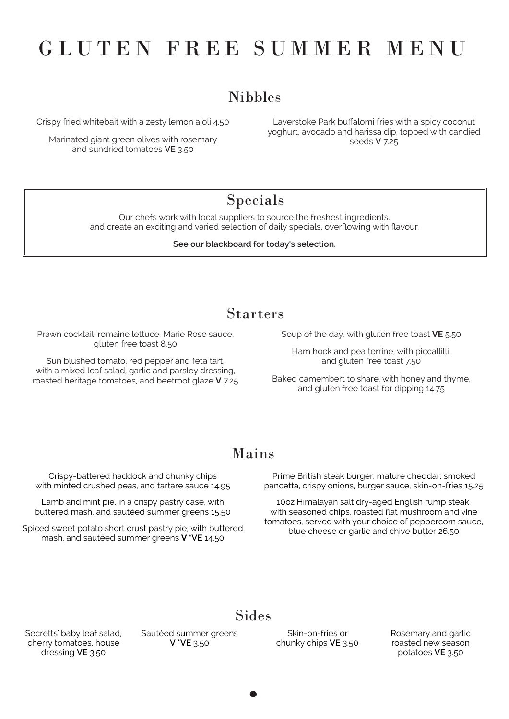# Nibbles

### Starters

Crispy fried whitebait with a zesty lemon aioli 4.50

Marinated giant green olives with rosemary and sundried tomatoes **VE** 3.50

Laverstoke Park buffalomi fries with a spicy coconut yoghurt, avocado and harissa dip, topped with candied seeds **V** 7.25

### Mains

Crispy-battered haddock and chunky chips with minted crushed peas, and tartare sauce 14.95

Lamb and mint pie, in a crispy pastry case, with buttered mash, and sautéed summer greens 15.50

Spiced sweet potato short crust pastry pie, with buttered mash, and sautéed summer greens **V \*VE** 14.50

Secretts' baby leaf salad, cherry tomatoes, house dressing **VE** 3.50

### Sides

Prime British steak burger, mature cheddar, smoked pancetta, crispy onions, burger sauce, skin-on-fries 15.25

10oz Himalayan salt dry-aged English rump steak, with seasoned chips, roasted flat mushroom and vine tomatoes, served with your choice of peppercorn sauce, blue cheese or garlic and chive butter 26.50

#### Sautéed summer greens **V \*VE** 3.50

# GLUTEN FREE SUMMER MENU

Skin-on-fries or chunky chips **VE** 3.50 Rosemary and garlic roasted new season potatoes **VE** 3.50

Our chefs work with local suppliers to source the freshest ingredients, and create an exciting and varied selection of daily specials, overflowing with flavour.

#### **See our blackboard for today's selection.**

# Specials

Prawn cocktail: romaine lettuce, Marie Rose sauce, gluten free toast 8.50

Sun blushed tomato, red pepper and feta tart, with a mixed leaf salad, garlic and parsley dressing, roasted heritage tomatoes, and beetroot glaze **V** 7.25 Soup of the day, with gluten free toast **VE** 5.50

Ham hock and pea terrine, with piccallilli, and gluten free toast 7.50

Baked camembert to share, with honey and thyme, and gluten free toast for dipping 14.75